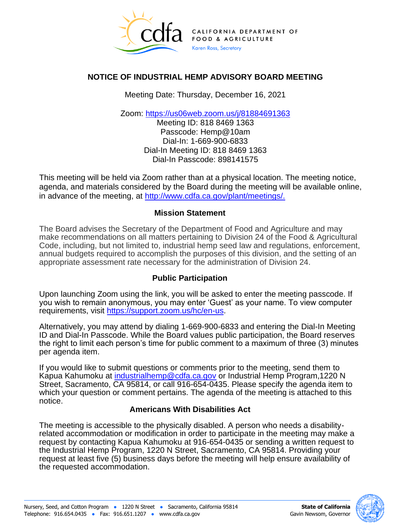

## **NOTICE OF INDUSTRIAL HEMP ADVISORY BOARD MEETING**

Meeting Date: Thursday, December 16, 2021

Zoom: [https://us06web.zoom.us/j/81884691363](https://gcc02.safelinks.protection.outlook.com/?url=https%3A%2F%2Fus06web.zoom.us%2Fj%2F81884691363&data=04%7C01%7CKapua.Kahumoku%40cdfa.ca.gov%7C27e63af8ab30462a22b808d9ab84a2ce%7Cafdfd251a22248978cbaae68cabfffbc%7C0%7C0%7C637729408430048892%7CUnknown%7CTWFpbGZsb3d8eyJWIjoiMC4wLjAwMDAiLCJQIjoiV2luMzIiLCJBTiI6Ik1haWwiLCJXVCI6Mn0%3D%7C3000&sdata=pFO%2FTnukRkQEnAclZ6KYomt%2FU84K9zHsfcdrQVAgg0I%3D&reserved=0)

Meeting ID: 818 8469 1363 Passcode: Hemp@10am Dial-In: 1-669-900-6833 Dial-In Meeting ID: 818 8469 1363 Dial-In Passcode: 898141575

This meeting will be held via Zoom rather than at a physical location. The meeting notice, agenda, and materials considered by the Board during the meeting will be available online, in advance of the meeting, at [http://www.cdfa.ca.gov/plant/meetings/.](http://www.cdfa.ca.gov/plant/meetings/)

### **Mission Statement**

The Board advises the Secretary of the Department of Food and Agriculture and may make recommendations on all matters pertaining to Division 24 of the Food & Agricultural Code, including, but not limited to, industrial hemp seed law and regulations, enforcement, annual budgets required to accomplish the purposes of this division, and the setting of an appropriate assessment rate necessary for the administration of Division 24.

## **Public Participation**

Upon launching Zoom using the link, you will be asked to enter the meeting passcode. If you wish to remain anonymous, you may enter 'Guest' as your name. To view computer requirements, visit [https://support.zoom.us/hc/en-us.](https://support.zoom.us/hc/en-us)

Alternatively, you may attend by dialing 1-669-900-6833 and entering the Dial-In Meeting ID and Dial-In Passcode. While the Board values public participation, the Board reserves the right to limit each person's time for public comment to a maximum of three (3) minutes per agenda item.

If you would like to submit questions or comments prior to the meeting, send them to Kapua Kahumoku at [industrialhemp@cdfa.ca.gov](mailto:industrialhemp@cdfa.ca.gov) or Industrial Hemp Program,1220 N Street, Sacramento, CA 95814, or call 916-654-0435. Please specify the agenda item to which your question or comment pertains. The agenda of the meeting is attached to this notice.

#### **Americans With Disabilities Act**

The meeting is accessible to the physically disabled. A person who needs a disabilityrelated accommodation or modification in order to participate in the meeting may make a request by contacting Kapua Kahumoku at 916-654-0435 or sending a written request to the Industrial Hemp Program, 1220 N Street, Sacramento, CA 95814. Providing your request at least five (5) business days before the meeting will help ensure availability of the requested accommodation.

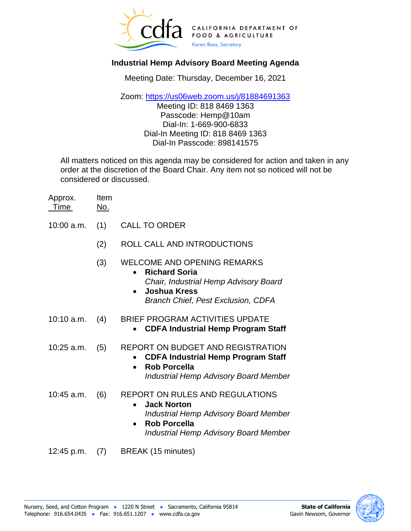

# **Industrial Hemp Advisory Board Meeting Agenda**

Meeting Date: Thursday, December 16, 2021

Zoom: [https://us06web.zoom.us/j/81884691363](https://gcc02.safelinks.protection.outlook.com/?url=https%3A%2F%2Fus06web.zoom.us%2Fj%2F81884691363&data=04%7C01%7CKapua.Kahumoku%40cdfa.ca.gov%7C27e63af8ab30462a22b808d9ab84a2ce%7Cafdfd251a22248978cbaae68cabfffbc%7C0%7C0%7C637729408430048892%7CUnknown%7CTWFpbGZsb3d8eyJWIjoiMC4wLjAwMDAiLCJQIjoiV2luMzIiLCJBTiI6Ik1haWwiLCJXVCI6Mn0%3D%7C3000&sdata=pFO%2FTnukRkQEnAclZ6KYomt%2FU84K9zHsfcdrQVAgg0I%3D&reserved=0)

Meeting ID: 818 8469 1363 Passcode: Hemp@10am Dial-In: 1-669-900-6833 Dial-In Meeting ID: 818 8469 1363 Dial-In Passcode: 898141575

All matters noticed on this agenda may be considered for action and taken in any order at the discretion of the Board Chair. Any item not so noticed will not be considered or discussed.

| Approx. | Item |
|---------|------|
| Time    | No.  |

- 10:00 a.m. (1) CALL TO ORDER
	- (2) ROLL CALL AND INTRODUCTIONS
	- (3) WELCOME AND OPENING REMARKS
		- **Richard Soria** *Chair, Industrial Hemp Advisory Board*
		- **Joshua Kress** *Branch Chief, Pest Exclusion, CDFA*
- 10:10 a.m. (4) BRIEF PROGRAM ACTIVITIES UPDATE
	- **CDFA Industrial Hemp Program Staff**
- 10:25 a.m. (5) REPORT ON BUDGET AND REGISTRATION
	- **CDFA Industrial Hemp Program Staff**
	- **Rob Porcella** *Industrial Hemp Advisory Board Member*
- 10:45 a.m. (6) REPORT ON RULES AND REGULATIONS
	- **Jack Norton** *Industrial Hemp Advisory Board Member*
	- **Rob Porcella** *Industrial Hemp Advisory Board Member*
- 12:45 p.m. (7) BREAK (15 minutes)